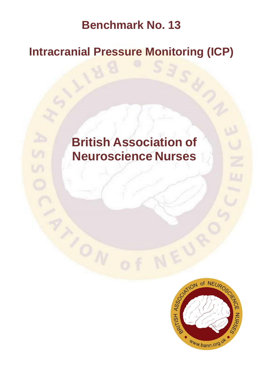## **Benchmark No. 13**

## **Intracranial Pressure Monitoring (ICP)**

# **British Association of Neuroscience Nurses**

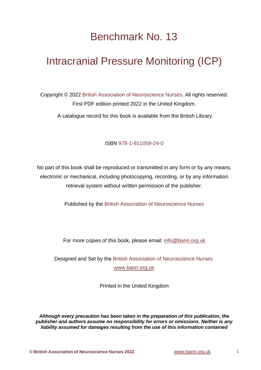## Benchmark No. 13

## Intracranial Pressure Monitoring (ICP)

Copyright © 2022 British Association of Neuroscience Nurses. All rights reserved. First PDF edition printed 2022 in the United Kingdom.

A catalogue record for this book is available from the British Library.

ISBN 978-1-911059-24-0

No part of this book shall be reproduced or transmitted in any form or by any means, electronic or mechanical, including photocopying, recording, or by any information retrieval system without written permission of the publisher.

Published by the British Association of Neuroscience Nurses

For more copies of this book, please email: [info@bann.org.uk](mailto:info@bann.org.uk)

Designed and Set by the British Association of Neuroscience Nurses [www.bann.org.uk](http://www.bann.org.uk/)

Printed in the United Kingdom

*Although every precaution has been taken in the preparation of this publication, the publisher and authors assume no responsibility for errors or omissions. Neither is any liability assumed for damages resulting from the use of this information contained*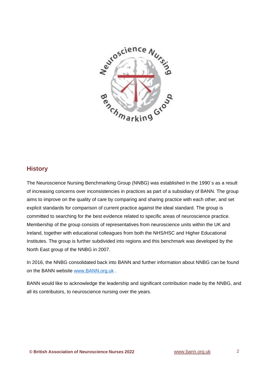

#### **History**

The Neuroscience Nursing Benchmarking Group (NNBG) was established in the 1990`s as a result of increasing concerns over inconsistencies in practices as part of a subsidiary of BANN. The group aims to improve on the quality of care by comparing and sharing practice with each other, and set explicit standards for comparison of current practice against the ideal standard. The group is committed to searching for the best evidence related to specific areas of neuroscience practice. Membership of the group consists of representatives from neuroscience units within the UK and Ireland, together with educational colleagues from both the NHS/HSC and Higher Educational Institutes. The group is further subdivided into regions and this benchmark was developed by the North East group of the NNBG in 2007.

In 2016, the NNBG consolidated back into BANN and further information about NNBG can be found on the BANN website [www.BANN.org.uk](http://www.bann.org.uk/).

BANN would like to acknowledge the leadership and significant contribution made by the NNBG, and all its contributors, to neuroscience nursing over the years.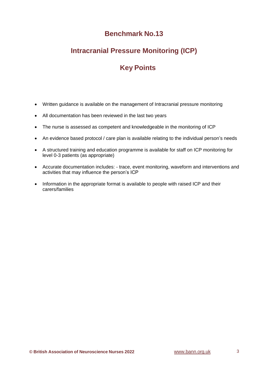### **Benchmark No.13**

### **Intracranial Pressure Monitoring (ICP)**

## **Key Points**

- Written guidance is available on the management of Intracranial pressure monitoring
- All documentation has been reviewed in the last two years
- The nurse is assessed as competent and knowledgeable in the monitoring of ICP
- An evidence based protocol / care plan is available relating to the individual person's needs
- A structured training and education programme is available for staff on ICP monitoring for level 0-3 patients (as appropriate)
- Accurate documentation includes: trace, event monitoring, waveform and interventions and activities that may influence the person's ICP
- Information in the appropriate format is available to people with raised ICP and their carers/families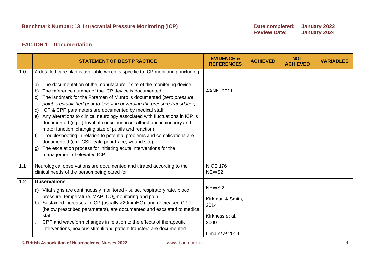#### **FACTOR 1 – Documentation**

|     | <b>STATEMENT OF BEST PRACTICE</b>                                                                                                                                                                                                                                                                                                                                                                                                                                                                                                                                                                                                                                                                                                                                                                                                                                                                                                   | <b>EVIDENCE &amp;</b><br><b>REFERENCES</b>                                                   | <b>ACHIEVED</b> | <b>NOT</b><br><b>ACHIEVED</b> | <b>VARIABLES</b> |
|-----|-------------------------------------------------------------------------------------------------------------------------------------------------------------------------------------------------------------------------------------------------------------------------------------------------------------------------------------------------------------------------------------------------------------------------------------------------------------------------------------------------------------------------------------------------------------------------------------------------------------------------------------------------------------------------------------------------------------------------------------------------------------------------------------------------------------------------------------------------------------------------------------------------------------------------------------|----------------------------------------------------------------------------------------------|-----------------|-------------------------------|------------------|
| 1.0 | A detailed care plan is available which is specific to ICP monitoring, including:<br>The documentation of the manufacturer / site of the monitoring device<br>a)<br>The reference number of the ICP device is documented<br>b)<br>The landmark for the Foramen of Munro is documented (zero pressure<br>C)<br>point is established prior to levelling or zeroing the pressure transducer)<br>ICP & CPP parameters are documented by medical staff<br>d)<br>Any alterations to clinical neurology associated with fluctuations in ICP is<br>e)<br>documented (e.g. ↓ level of consciousness, alterations in sensory and<br>motor function, changing size of pupils and reaction)<br>Troubleshooting in relation to potential problems and complications are<br>documented (e.g. CSF leak, poor trace, wound site)<br>The escalation process for initiating acute interventions for the<br>$\mathsf{q}$<br>management of elevated ICP | AANN, 2011                                                                                   |                 |                               |                  |
| 1.1 | Neurological observations are documented and titrated according to the<br>clinical needs of the person being cared for                                                                                                                                                                                                                                                                                                                                                                                                                                                                                                                                                                                                                                                                                                                                                                                                              | <b>NICE 176</b><br>NEWS <sub>2</sub>                                                         |                 |                               |                  |
| 1.2 | <b>Observations</b><br>a) Vital signs are continuously monitored - pulse, respiratory rate, blood<br>pressure, temperature, MAP, CO <sub>2</sub> monitoring and pain.<br>Sustained increases in ICP (usually >20mmHG), and decreased CPP<br>b)<br>(below prescribed parameters), are documented and escalated to medical<br>staff<br>CPP and waveform changes in relation to the effects of therapeutic<br>interventions, noxious stimuli and patient transfers are documented                                                                                                                                                                                                                                                                                                                                                                                                                                                      | NEWS <sub>2</sub><br>Kirkman & Smith,<br>2014<br>Kirkness et al.<br>2000<br>Lima et al 2019. |                 |                               |                  |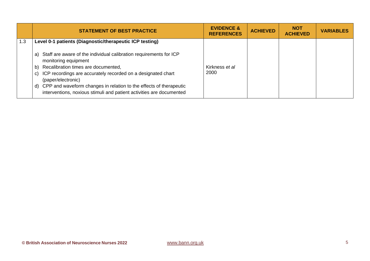|     | <b>STATEMENT OF BEST PRACTICE</b>                                                                                                                                                                                                                                                                                                                                                                                                                     | <b>EVIDENCE &amp;</b><br><b>REFERENCES</b> | <b>ACHIEVED</b> | <b>NOT</b><br><b>ACHIEVED</b> | <b>VARIABLES</b> |
|-----|-------------------------------------------------------------------------------------------------------------------------------------------------------------------------------------------------------------------------------------------------------------------------------------------------------------------------------------------------------------------------------------------------------------------------------------------------------|--------------------------------------------|-----------------|-------------------------------|------------------|
| 1.3 | Level 0-1 patients (Diagnostic/therapeutic ICP testing)<br>Staff are aware of the individual calibration requirements for ICP<br>a)<br>monitoring equipment<br>Recalibration times are documented,<br>b)<br>ICP recordings are accurately recorded on a designated chart<br>C)<br>(paper/electronic)<br>d) CPP and waveform changes in relation to the effects of therapeutic<br>interventions, noxious stimuli and patient activities are documented | Kirkness et al<br>2000                     |                 |                               |                  |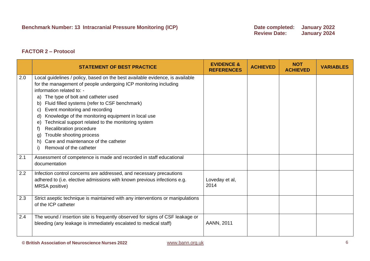#### **FACTOR 2 – Protocol**

|     | <b>STATEMENT OF BEST PRACTICE</b>                                                                                                                                                                                                                                                                                                                                                                                                                                                                                                                                                       | <b>EVIDENCE &amp;</b><br><b>REFERENCES</b> | <b>ACHIEVED</b> | <b>NOT</b><br><b>ACHIEVED</b> | <b>VARIABLES</b> |
|-----|-----------------------------------------------------------------------------------------------------------------------------------------------------------------------------------------------------------------------------------------------------------------------------------------------------------------------------------------------------------------------------------------------------------------------------------------------------------------------------------------------------------------------------------------------------------------------------------------|--------------------------------------------|-----------------|-------------------------------|------------------|
| 2.0 | Local guidelines / policy, based on the best available evidence, is available<br>for the management of people undergoing ICP monitoring including<br>information related to: -<br>The type of bolt and catheter used<br>a)<br>Fluid filled systems (refer to CSF benchmark)<br>b)<br>Event monitoring and recording<br>C)<br>Knowledge of the monitoring equipment in local use<br>d)<br>Technical support related to the monitoring system<br>e)<br>Recalibration procedure<br>Trouble shooting process<br>g)<br>Care and maintenance of the catheter<br>h)<br>Removal of the catheter |                                            |                 |                               |                  |
| 2.1 | Assessment of competence is made and recorded in staff educational<br>documentation                                                                                                                                                                                                                                                                                                                                                                                                                                                                                                     |                                            |                 |                               |                  |
| 2.2 | Infection control concerns are addressed, and necessary precautions<br>adhered to (i.e. elective admissions with known previous infections e.g.<br>MRSA positive)                                                                                                                                                                                                                                                                                                                                                                                                                       | Loveday et al,<br>2014                     |                 |                               |                  |
| 2.3 | Strict aseptic technique is maintained with any interventions or manipulations<br>of the ICP catheter                                                                                                                                                                                                                                                                                                                                                                                                                                                                                   |                                            |                 |                               |                  |
| 2.4 | The wound / insertion site is frequently observed for signs of CSF leakage or<br>bleeding (any leakage is immediately escalated to medical staff)                                                                                                                                                                                                                                                                                                                                                                                                                                       | AANN, 2011                                 |                 |                               |                  |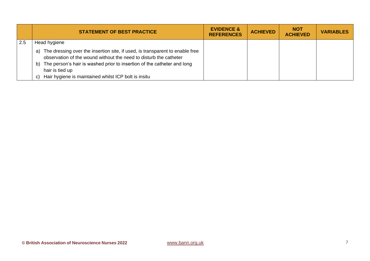|     | <b>STATEMENT OF BEST PRACTICE</b>                                                                                                                                                                                                                                                                                | <b>EVIDENCE &amp;</b><br><b>REFERENCES</b> | <b>ACHIEVED</b> | <b>NOT</b><br><b>ACHIEVED</b> | <b>VARIABLES</b> |
|-----|------------------------------------------------------------------------------------------------------------------------------------------------------------------------------------------------------------------------------------------------------------------------------------------------------------------|--------------------------------------------|-----------------|-------------------------------|------------------|
| 2.5 | Head hygiene                                                                                                                                                                                                                                                                                                     |                                            |                 |                               |                  |
|     | The dressing over the insertion site, if used, is transparent to enable free<br>a)<br>observation of the wound without the need to disturb the catheter<br>b) The person's hair is washed prior to insertion of the catheter and long<br>hair is tied up<br>Hair hygiene is maintained whilst ICP bolt is insitu |                                            |                 |                               |                  |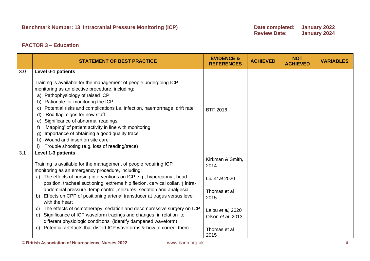**Review Date: January 2024**

### **FACTOR 3 – Education**

|     | <b>STATEMENT OF BEST PRACTICE</b>                                                                                                                                                                                                                                                                                                                                                                                                                                                                                                                                                                                                                                                                                                                                                                                 | <b>EVIDENCE &amp;</b><br><b>REFERENCES</b>                                                                                           | <b>ACHIEVED</b> | <b>NOT</b><br><b>ACHIEVED</b> | <b>VARIABLES</b> |
|-----|-------------------------------------------------------------------------------------------------------------------------------------------------------------------------------------------------------------------------------------------------------------------------------------------------------------------------------------------------------------------------------------------------------------------------------------------------------------------------------------------------------------------------------------------------------------------------------------------------------------------------------------------------------------------------------------------------------------------------------------------------------------------------------------------------------------------|--------------------------------------------------------------------------------------------------------------------------------------|-----------------|-------------------------------|------------------|
| 3.0 | Level 0-1 patients<br>Training is available for the management of people undergoing ICP<br>monitoring as an elective procedure, including:<br>a) Pathophysiology of raised ICP<br>Rationale for monitoring the ICP<br>b)<br>Potential risks and complications i.e. infection, haemorrhage, drift rate<br>C)<br>'Red flag' signs for new staff<br>d)<br>Significance of abnormal readings<br>e)<br>'Mapping' of patient activity in line with monitoring<br>Importance of obtaining a good quality trace<br>g.<br>Wound and insertion site care<br>h)<br>Trouble shooting (e.g. loss of reading/trace)                                                                                                                                                                                                             | <b>BTF 2016</b>                                                                                                                      |                 |                               |                  |
| 3.1 | Level 1-3 patients<br>Training is available for the management of people requiring ICP<br>monitoring as an emergency procedure, including:<br>a) The effects of nursing interventions on ICP e.g., hypercapnia, head<br>position, tracheal suctioning, extreme hip flexion, cervical collar, $\uparrow$ intra-<br>abdominal pressure, temp control, seizures, sedation and analgesia.<br>Effects on CPP of positioning arterial transducer at tragus versus level<br>$\mathbf{b}$<br>with the heart<br>The effects of osmotherapy, sedation and decompressive surgery on ICP<br>C)<br>Significance of ICP waveform tracings and changes in relation to<br>d)<br>different physiologic conditions (identify dampened waveform)<br>Potential artefacts that distort ICP waveforms & how to correct them<br>$\Theta$ | Kirkman & Smith,<br>2014<br>Liu et al 2020<br>Thomas et al<br>2015<br>Lalou et al, 2020<br>Olson et al, 2013<br>Thomas et al<br>2015 |                 |                               |                  |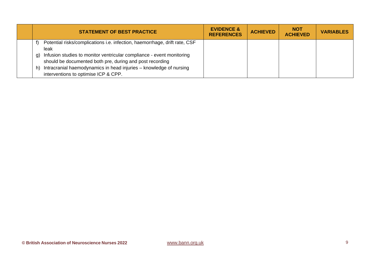| <b>STATEMENT OF BEST PRACTICE</b>                                                                                                                                                                                                                                                                                                                 | <b>EVIDENCE &amp;</b><br><b>REFERENCES</b> | <b>ACHIEVED</b> | <b>NOT</b><br><b>ACHIEVED</b> | <b>VARIABLES</b> |
|---------------------------------------------------------------------------------------------------------------------------------------------------------------------------------------------------------------------------------------------------------------------------------------------------------------------------------------------------|--------------------------------------------|-----------------|-------------------------------|------------------|
| Potential risks/complications i.e. infection, haemorrhage, drift rate, CSF<br>leak<br>Infusion studies to monitor ventricular compliance - event monitoring<br>g)<br>should be documented both pre, during and post recording<br>Intracranial haemodynamics in head injuries - knowledge of nursing<br>h)<br>interventions to optimise ICP & CPP. |                                            |                 |                               |                  |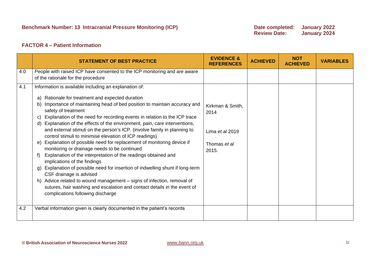#### **FACTOR 4 – Patient Information**

|     | <b>STATEMENT OF BEST PRACTICE</b>                                                                                                                                                                                                                                                                                                                                                                                                                                                                                                                                                                                                                                                                                                                                                                                                                                                                                                                                                                                                                                       | <b>EVIDENCE &amp;</b><br><b>REFERENCES</b>                           | <b>ACHIEVED</b> | <b>NOT</b><br><b>ACHIEVED</b> | <b>VARIABLES</b> |
|-----|-------------------------------------------------------------------------------------------------------------------------------------------------------------------------------------------------------------------------------------------------------------------------------------------------------------------------------------------------------------------------------------------------------------------------------------------------------------------------------------------------------------------------------------------------------------------------------------------------------------------------------------------------------------------------------------------------------------------------------------------------------------------------------------------------------------------------------------------------------------------------------------------------------------------------------------------------------------------------------------------------------------------------------------------------------------------------|----------------------------------------------------------------------|-----------------|-------------------------------|------------------|
| 4.0 | People with raised ICP have consented to the ICP monitoring and are aware                                                                                                                                                                                                                                                                                                                                                                                                                                                                                                                                                                                                                                                                                                                                                                                                                                                                                                                                                                                               |                                                                      |                 |                               |                  |
|     | of the rationale for the procedure                                                                                                                                                                                                                                                                                                                                                                                                                                                                                                                                                                                                                                                                                                                                                                                                                                                                                                                                                                                                                                      |                                                                      |                 |                               |                  |
| 4.1 | Information is available including an explanation of:<br>Rationale for treatment and expected duration<br>a)<br>Importance of maintaining head of bed position to maintain accuracy and<br>b)<br>safety of treatment<br>Explanation of the need for recording events in relation to the ICP trace<br>Explanation of the effects of the environment, pain, care interventions,<br>d)<br>and external stimuli on the person's ICP. (involve family in planning to<br>control stimuli to minimise elevation of ICP readings)<br>e) Explanation of possible need for replacement of monitoring device if<br>monitoring or drainage needs to be continued<br>Explanation of the interpretation of the readings obtained and<br>f)<br>implications of the findings<br>Explanation of possible need for insertion of indwelling shunt if long-term<br>g)<br>CSF drainage is advised<br>h) Advice related to wound management - signs of infection, removal of<br>sutures, hair washing and escalation and contact details in the event of<br>complications following discharge | Kirkman & Smith,<br>2014<br>Lima et al 2019<br>Thomas et al<br>2015. |                 |                               |                  |
| 4.2 | Verbal information given is clearly documented in the patient's records                                                                                                                                                                                                                                                                                                                                                                                                                                                                                                                                                                                                                                                                                                                                                                                                                                                                                                                                                                                                 |                                                                      |                 |                               |                  |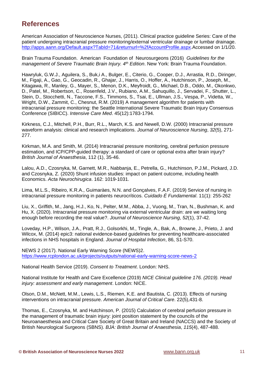### **References**

American Association of Neuroscience Nurses, (2011). Clinical practice guideline Series: Care of the patient undergoing intracranial pressure monitoring/external ventricular drainage or lumbar drainage. [http://apps.aann.org/Default.aspx?TabId=71&returnurl=%2fAccountProfile.aspx.](http://apps.aann.org/Default.aspx?TabId=71&returnurl=%2fAccountProfile.aspx)Accessed on 1/1/20.

Brain Trauma Foundation. American Foundation of Neurosurgeons (2016) *Guidelines for the management of Severe Traumatic Brain Injury. 4th Edition*. New York: Brain Trauma Foundation.

Hawryluk, G.W.J., Aguilera, S., Buk,i A., Bulger, E., Citerio, G., Cooper, D.J., Arrastia, R.D., Diringer, M., Figaji, A., Gao, G., Geocadin, R., Ghajar, J., Harris, O., Hoffer, A., Hutchinson, P., Joseph, M., Kitagawa, R., Manley, G., Mayer, S., Menon, D.K., Meyfroidt, G., Michael, D.B., Oddo, M., Okonkwo, D., Patel, M., Robertson, C., Rosenfeld, J.V., Rubiano, A.M., Sahuquillo, J., Servadei, F., Shutter, L., Stein, D., Stocchetti, N., Taccone, F.S., Timmons, S., Tsai, E., Ullman, J.S., Vespa, P., Videtta, W., Wright, D.W., Zammit, C., Chesnut, R.M. (2019) A management algorithm for patients with intracranial pressure monitoring: the Seattle International Severe Traumatic Brain Injury Consensus Conference (SIBICC). *Intensive Care Med*. 45(12):1783-1794.

Kirkness, C.J., Mitchell, P.H., Burr, R.L., March, K.S. and Newell, D.W. (2000) Intracranial pressure waveform analysis: clinical and research implications. *Journal of Neuroscience Nursing*, *32*(5), 271- 277.

Kirkman, M.A. and Smith, M. (2014) Intracranial pressure monitoring, cerebral perfusion pressure estimation, and ICP/CPP-quided therapy: a standard of care or optional extra after brain injury? *British Journal of Anaesthesia*, 112 (1), 35-46.

Lalou, A.D., Czosnyka, M, Garnett, M.R., Nabbanja, E., Petrella, G., Hutchinson, P.J.M., Pickard, J.D. and Czosnyka, Z. (2020) Shunt infusion studies: impact on patient outcome, including health Economics. *Acta Neurochirugica*. 162: 1019-1031.

Lima, M.L.S., Ribeiro, K.R.A., Guimaràes, N.N. and Gonçalves, F.A.F. (2019) Service of nursing in intracranial pressure monitoring in patients neurocríticos. *Cuidado É Fundamental*. 11(1): 255-262

Liu, X., Griffith, M., Jang, H.J., Ko, N., Pelter, M.M., Abba, J., Vuong, M., Tran, N., Bushman, K. and Hu, X. (2020). Intracranial pressure monitoring via external ventricular drain: are we waiting long enough before recording the real value?. *Journal of Neuroscience Nursing*, *52*(1), 37-42.

Loveday, H.P., Wilson, J.A., Pratt, R.J., Golsorkhi, M., Tingle, A., Bak, A., Browne, J., Prieto, J. and Wilcox, M. (2014) epic3: national evidence-based guidelines for preventing healthcare-associated infections in NHS hospitals in England. *Journal of Hospital Infection*, 86, S1-S70.

NEWS 2 (2017). National Early Warning Score (NEWS)2. <https://www.rcplondon.ac.uk/projects/outputs/national-early-warning-score-news-2>

National Health Service (2019). *Consent to Treatment*. London: NHS.

National Institute for Health and Care Excellence (2019) *NICE Clinical guideline 176. (2019). Head injury: assessment and early management*. London: NICE.

Olson, D.M., McNett, M.M., Lewis, L.S., Riemen, K.E. and Bautista, C. (2013). Effects of nursing interventions on intracranial pressure. *American Journal of Critical Care*. 22(5),431-8.

Thomas, E., Czosnyka, M. and Hutchinson, P. (2015) Calculation of cerebral perfusion pressure in the management of traumatic brain injury: joint position statement by the councils of the Neuroanaesthesia and Critical Care Society of Great Britain and Ireland (NACCS) and the Society of British Neurological Surgeons (SBNS). *BJA: British Journal of Anaesthesia*, *115*(4), 487-488.